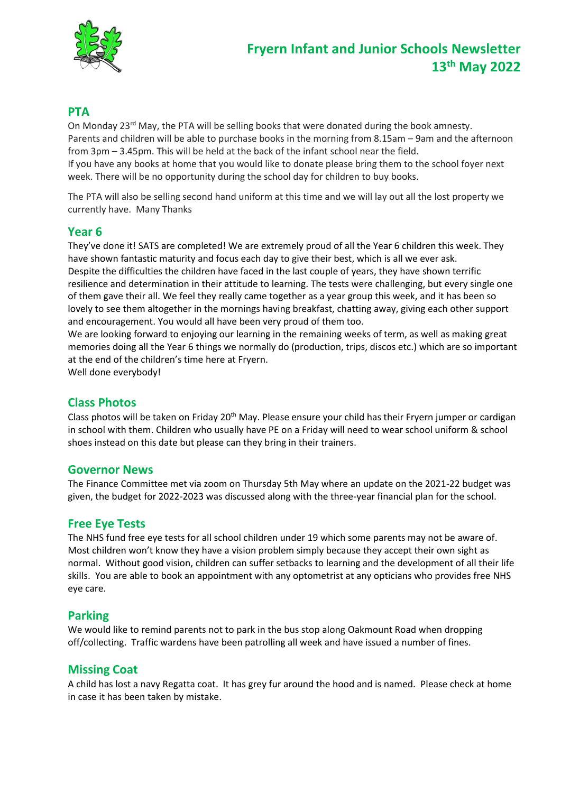

# **PTA**

On Monday  $23^{\text{rd}}$  May, the PTA will be selling books that were donated during the book amnesty. Parents and children will be able to purchase books in the morning from 8.15am – 9am and the afternoon from 3pm – 3.45pm. This will be held at the back of the infant school near the field.

If you have any books at home that you would like to donate please bring them to the school foyer next week. There will be no opportunity during the school day for children to buy books.

The PTA will also be selling second hand uniform at this time and we will lay out all the lost property we currently have. Many Thanks

## **Year 6**

They've done it! SATS are completed! We are extremely proud of all the Year 6 children this week. They have shown fantastic maturity and focus each day to give their best, which is all we ever ask. Despite the difficulties the children have faced in the last couple of years, they have shown terrific resilience and determination in their attitude to learning. The tests were challenging, but every single one of them gave their all. We feel they really came together as a year group this week, and it has been so lovely to see them altogether in the mornings having breakfast, chatting away, giving each other support and encouragement. You would all have been very proud of them too.

We are looking forward to enjoying our learning in the remaining weeks of term, as well as making great memories doing all the Year 6 things we normally do (production, trips, discos etc.) which are so important at the end of the children's time here at Fryern.

Well done everybody!

# **Class Photos**

Class photos will be taken on Friday 20<sup>th</sup> May. Please ensure your child has their Fryern jumper or cardigan in school with them. Children who usually have PE on a Friday will need to wear school uniform & school shoes instead on this date but please can they bring in their trainers.

### **Governor News**

The Finance Committee met via zoom on Thursday 5th May where an update on the 2021-22 budget was given, the budget for 2022-2023 was discussed along with the three-year financial plan for the school.

# **Free Eye Tests**

The NHS fund free eye tests for all school children under 19 which some parents may not be aware of. Most children won't know they have a vision problem simply because they accept their own sight as normal. Without good vision, children can suffer setbacks to learning and the development of all their life skills. You are able to book an appointment with any optometrist at any opticians who provides free NHS eye care.

### **Parking**

We would like to remind parents not to park in the bus stop along Oakmount Road when dropping off/collecting. Traffic wardens have been patrolling all week and have issued a number of fines.

### **Missing Coat**

A child has lost a navy Regatta coat. It has grey fur around the hood and is named. Please check at home in case it has been taken by mistake.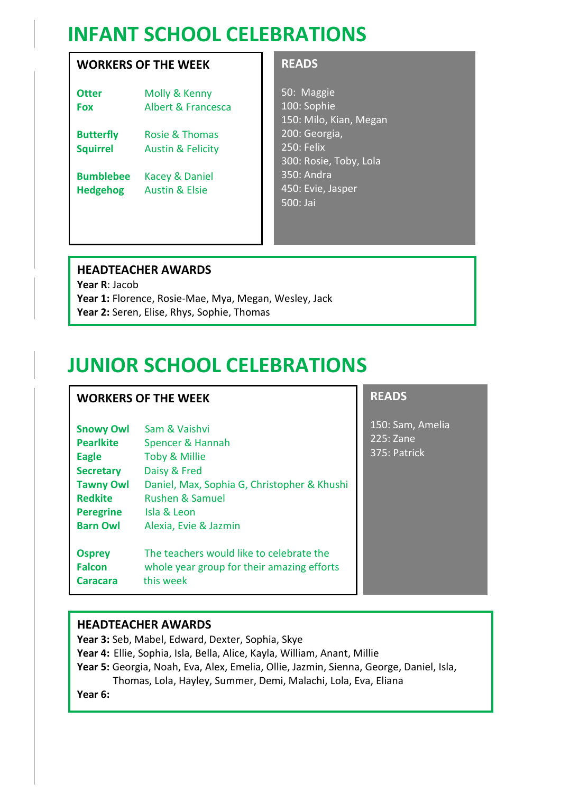# **INFANT SCHOOL CELEBRATIONS**

# **WORKERS OF THE WEEK**

**Otter** Molly & Kenny **Fox** Albert & Francesca

**Butterfly** Rosie & Thomas **Squirrel** Austin & Felicity

**Bumblebee** Kacey & Daniel **Hedgehog** Austin & Elsie

## **READS**

50: Maggie 100: Sophie 150: Milo, Kian, Megan 200: Georgia, 250: Felix 300: Rosie, Toby, Lola 350: Andra 450: Evie, Jasper 500: Jai

# **HEADTEACHER AWARDS**

**Year R**: Jacob **Year 1:** Florence, Rosie-Mae, Mya, Megan, Wesley, Jack **Year 2:** Seren, Elise, Rhys, Sophie, Thomas

# **JUNIOR SCHOOL CELEBRATIONS**

# **WORKERS OF THE WEEK**

| <b>Snowy Owl</b> | Sam & Vaishvi                               |
|------------------|---------------------------------------------|
| <b>Pearlkite</b> | Spencer & Hannah                            |
| <b>Eagle</b>     | Toby & Millie                               |
| <b>Secretary</b> | Daisy & Fred                                |
| <b>Tawny Owl</b> | Daniel, Max, Sophia G, Christopher & Khushi |
| <b>Redkite</b>   | <b>Rushen &amp; Samuel</b>                  |
| <b>Peregrine</b> | Isla & Leon                                 |
| <b>Barn Owl</b>  | Alexia, Evie & Jazmin                       |
| <b>Osprey</b>    | The teachers would like to celebrate the    |
| <b>Falcon</b>    | whole year group for their amazing efforts  |
| Caracara         | this week                                   |

# **READS**

150: Sam, Amelia 225: Zane 375: Patrick

# **HEADTEACHER AWARDS**

**Year 3:** Seb, Mabel, Edward, Dexter, Sophia, Skye

- **Year 4:** Ellie, Sophia, Isla, Bella, Alice, Kayla, William, Anant, Millie
- **Year 5:** Georgia, Noah, Eva, Alex, Emelia, Ollie, Jazmin, Sienna, George, Daniel, Isla, Thomas, Lola, Hayley, Summer, Demi, Malachi, Lola, Eva, Eliana

**Year 6:**

 $\overline{a}$